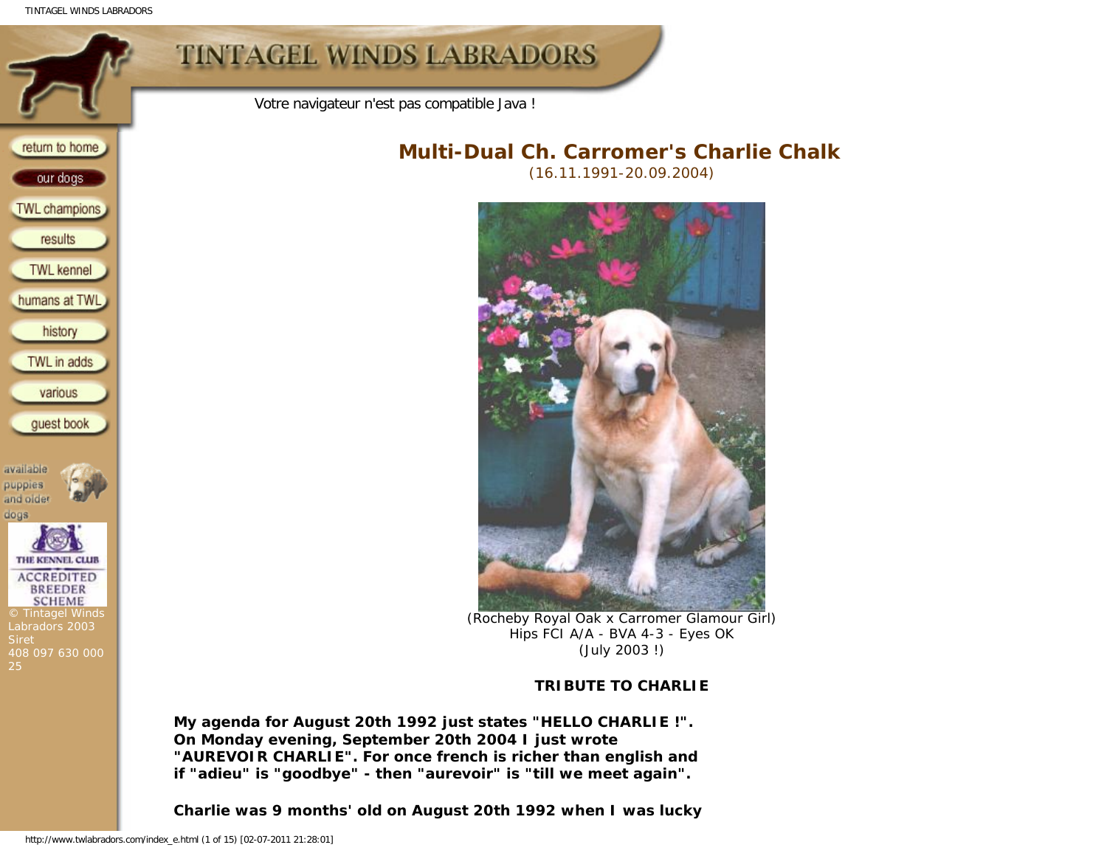TINTAGEL WINDS LABRADORS

Siret

available puppies and older dogs

408 097 630 000



(Rocheby Royal Oak x Carromer Glamour Girl) Hips FCI A/A - BVA 4-3 - Eyes OK (July 2003 !)

## **TRIBUTE TO CHARLIE**

**My agenda for August 20th 1992 just states "HELLO CHARLIE !". On Monday evening, September 20th 2004 I just wrote "AUREVOIR CHARLIE". For once french is richer than english and if "adieu" is "goodbye" - then "aurevoir" is "till we meet again".**

**Charlie was 9 months' old on August 20th 1992 when I was lucky**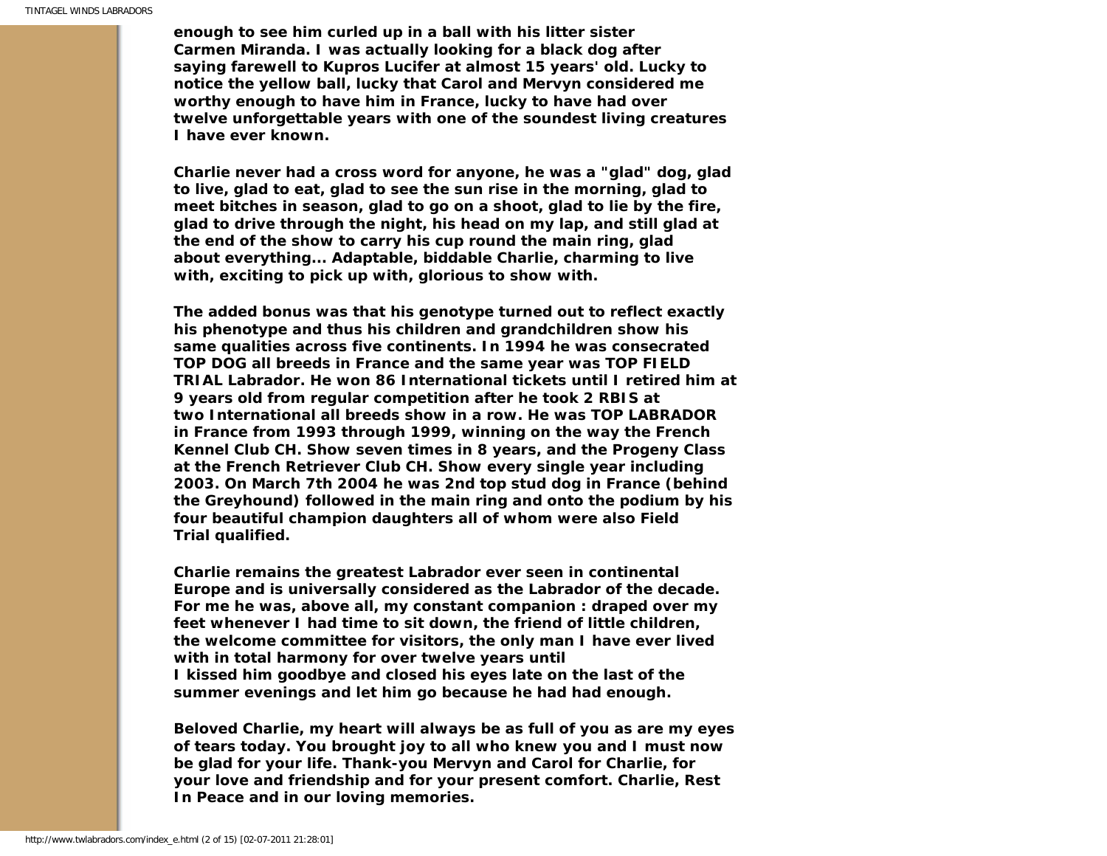**enough to see him curled up in a ball with his litter sister Carmen Miranda. I was actually looking for a black dog after saying farewell to Kupros Lucifer at almost 15 years' old. Lucky to notice the yellow ball, lucky that Carol and Mervyn considered me worthy enough to have him in France, lucky to have had over twelve unforgettable years with one of the soundest living creatures I have ever known.**

**Charlie never had a cross word for anyone, he was a "glad" dog, glad to live, glad to eat, glad to see the sun rise in the morning, glad to meet bitches in season, glad to go on a shoot, glad to lie by the fire, glad to drive through the night, his head on my lap, and still glad at the end of the show to carry his cup round the main ring, glad about everything... Adaptable, biddable Charlie, charming to live with, exciting to pick up with, glorious to show with.**

**The added bonus was that his genotype turned out to reflect exactly his phenotype and thus his children and grandchildren show his same qualities across five continents. In 1994 he was consecrated TOP DOG all breeds in France and the same year was TOP FIELD TRIAL Labrador. He won 86 International tickets until I retired him at 9 years old from regular competition after he took 2 RBIS at two International all breeds show in a row. He was TOP LABRADOR in France from 1993 through 1999, winning on the way the French Kennel Club CH. Show seven times in 8 years, and the Progeny Class at the French Retriever Club CH. Show every single year including 2003. On March 7th 2004 he was 2nd top stud dog in France (behind the Greyhound) followed in the main ring and onto the podium by his four beautiful champion daughters all of whom were also Field Trial qualified.**

**Charlie remains the greatest Labrador ever seen in continental Europe and is universally considered as the Labrador of the decade. For me he was, above all, my constant companion : draped over my feet whenever I had time to sit down, the friend of little children, the welcome committee for visitors, the only man I have ever lived with in total harmony for over twelve years until I kissed him goodbye and closed his eyes late on the last of the summer evenings and let him go because he had had enough.**

**Beloved Charlie, my heart will always be as full of you as are my eyes of tears today. You brought joy to all who knew you and I must now be glad for your life. Thank-you Mervyn and Carol for Charlie, for your love and friendship and for your present comfort. Charlie, Rest In Peace and in our loving memories.**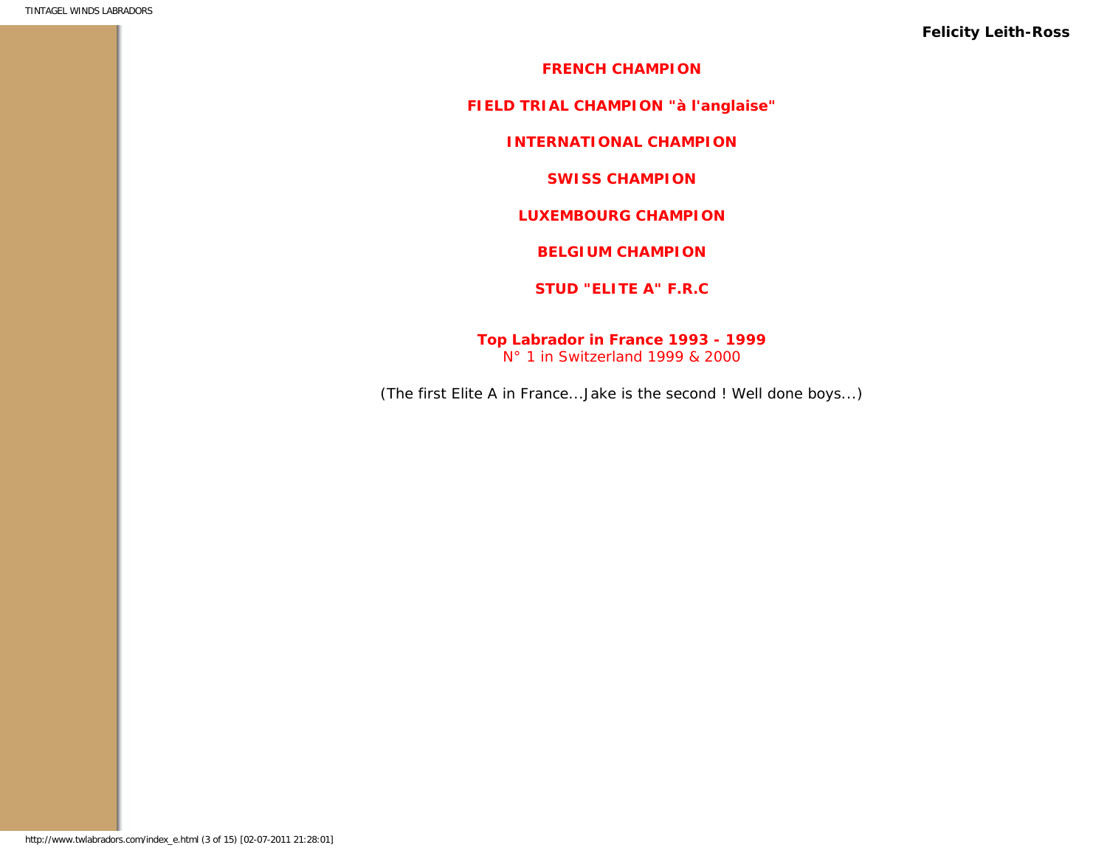**FRENCH CHAMPION**

**FIELD TRIAL CHAMPION "à l'anglaise"**

**INTERNATIONAL CHAMPION**

**SWISS CHAMPION**

**LUXEMBOURG CHAMPION**

**BELGIUM CHAMPION**

**STUD "ELITE A" F.R.C**

**Top Labrador in France 1993 - 1999** N° 1 in Switzerland 1999 & 2000

(The first Elite A in France...Jake is the second ! Well done boys...)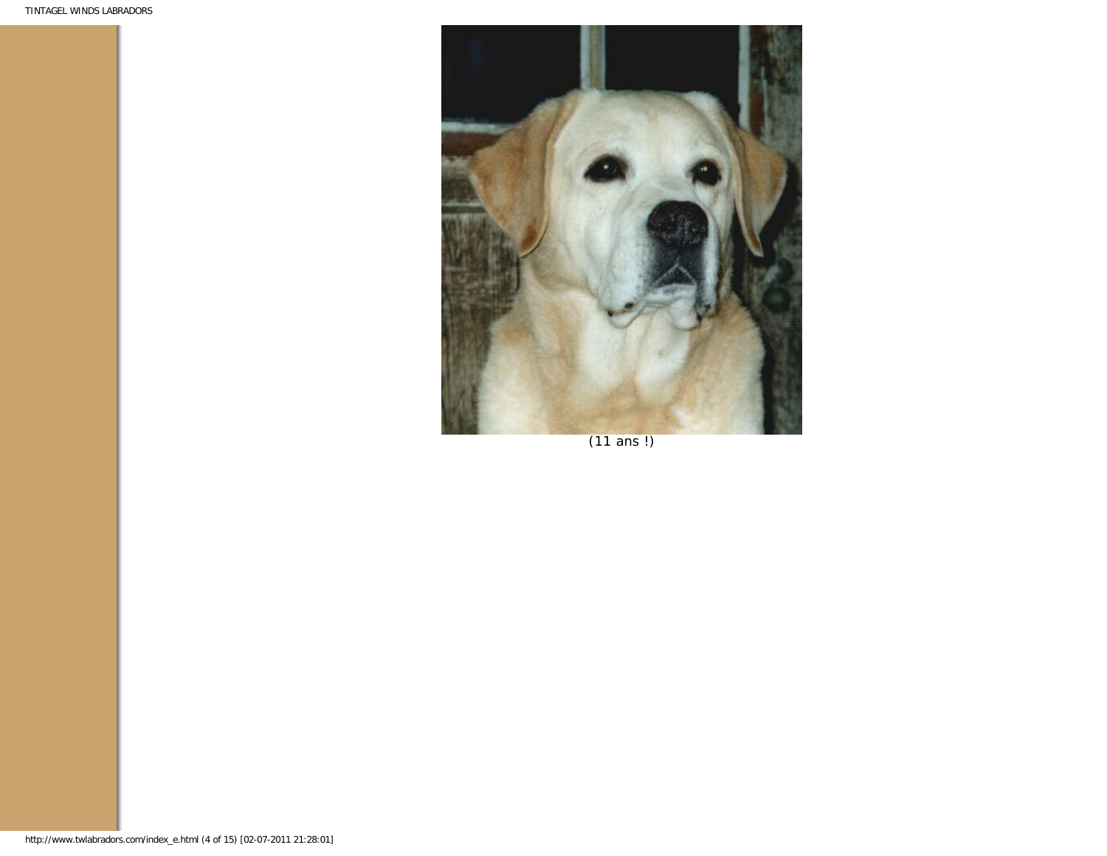

(11 ans !)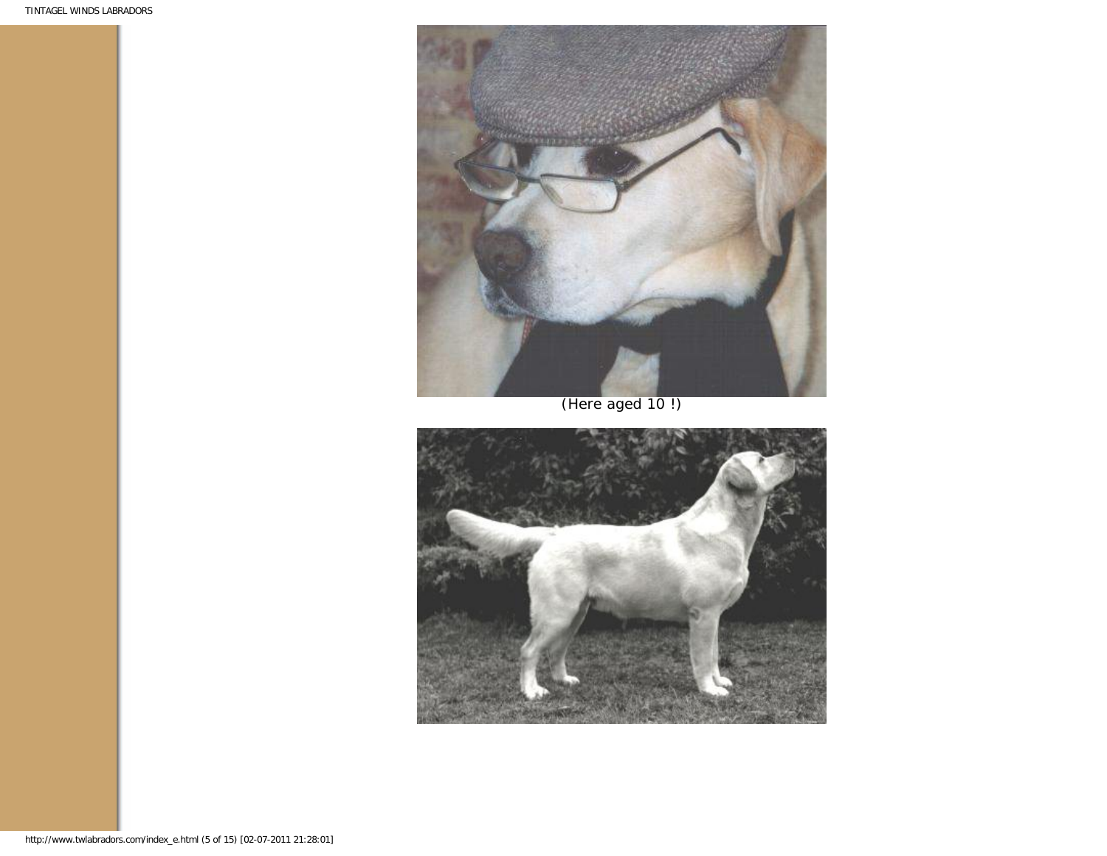

(Here aged 10 !)

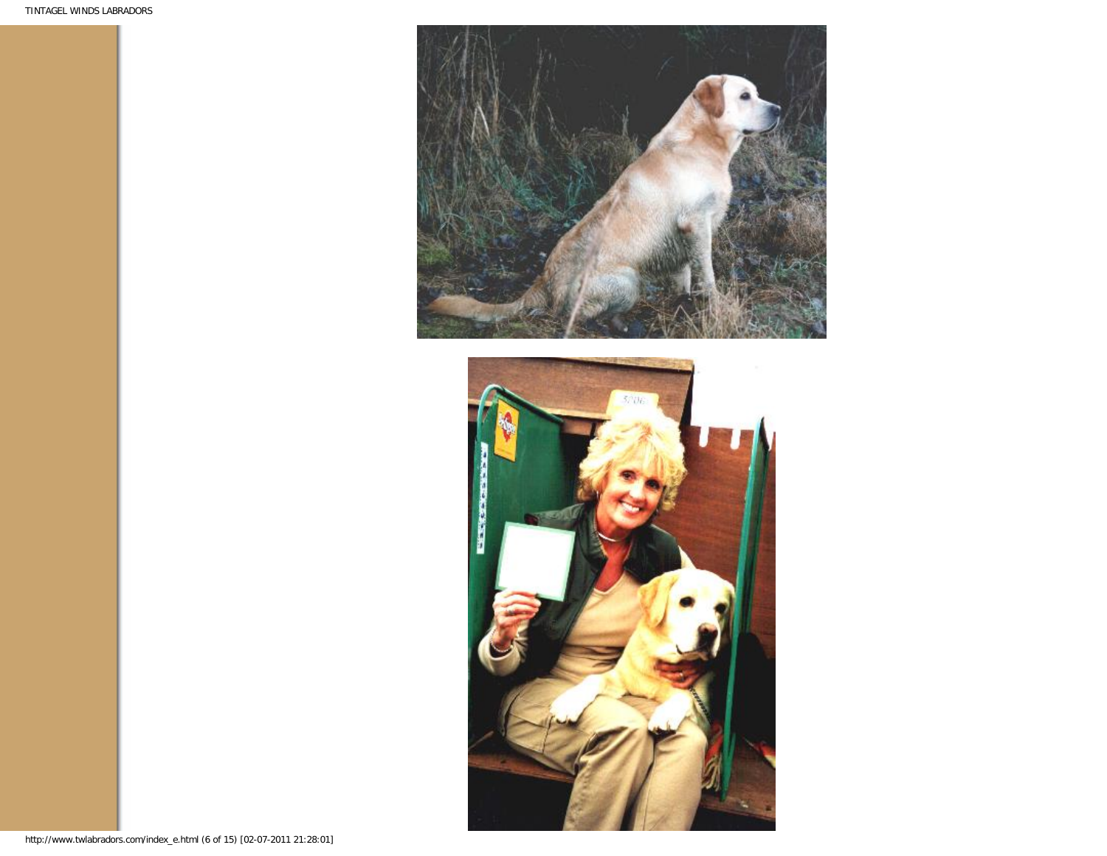



http://www.twlabradors.com/index\_e.html (6 of 15) [02-07-2011 21:28:01]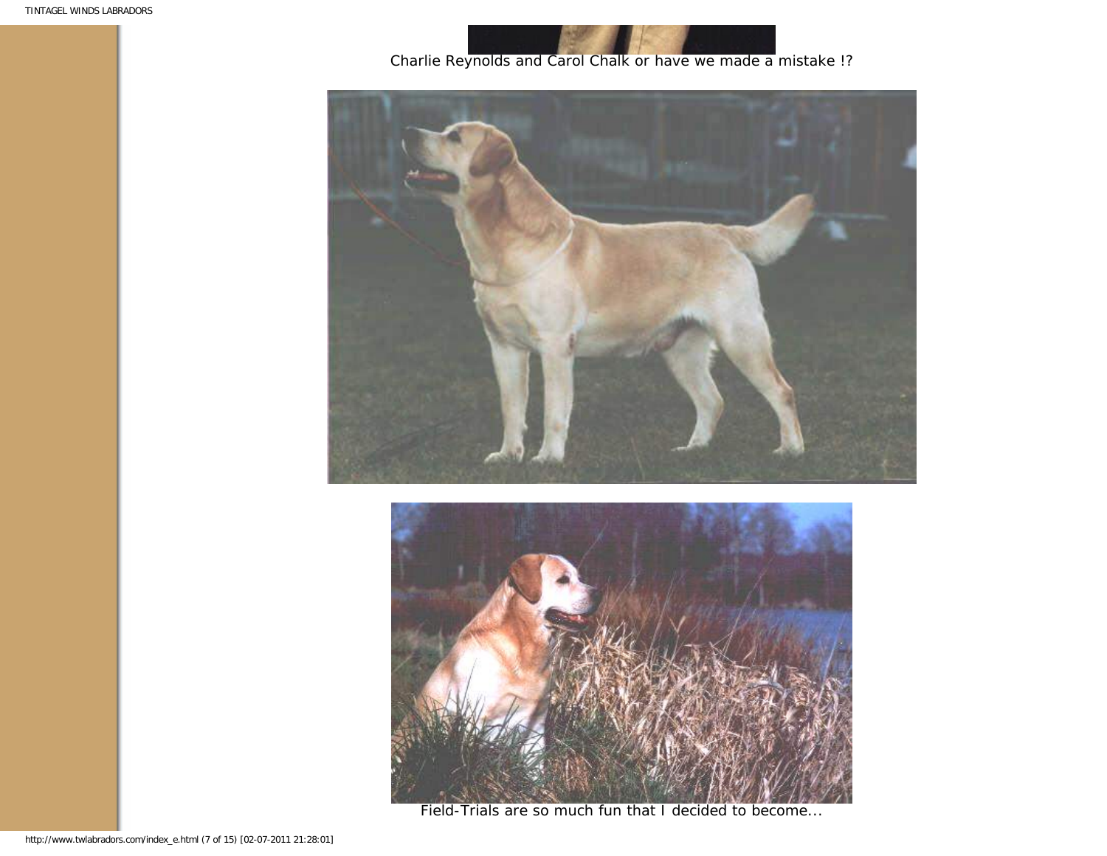

Charlie Reynolds and Carol Chalk or have we made a mistake !?





Field-Trials are so much fun that I decided to become...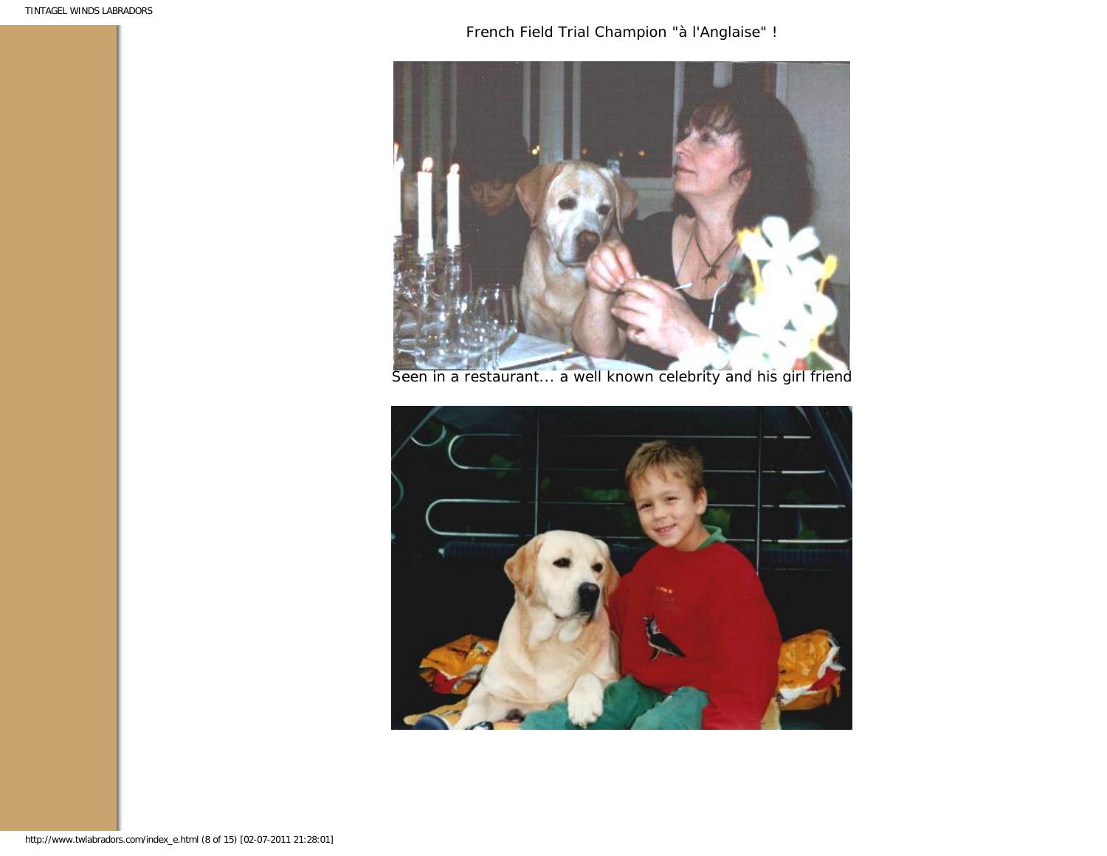French Field Trial Champion "à l'Anglaise" !



Seen in a restaurant... a well known celebrity and his girl friend

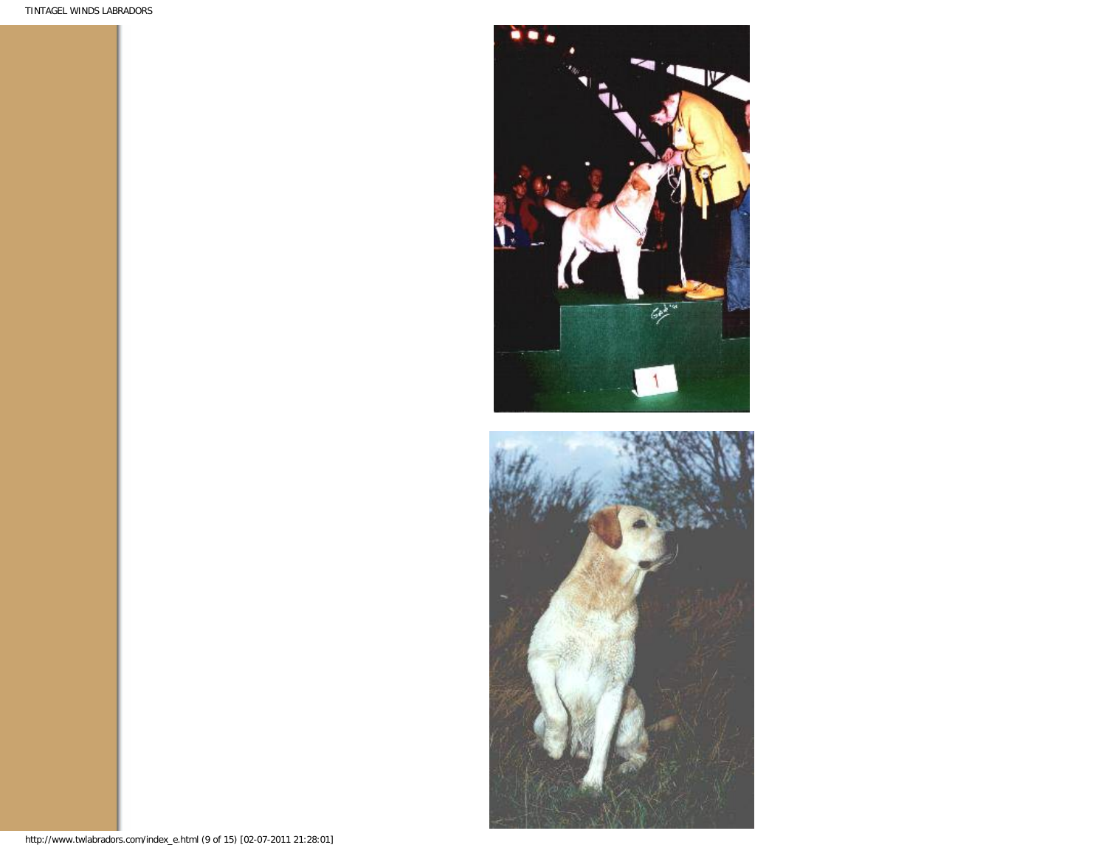

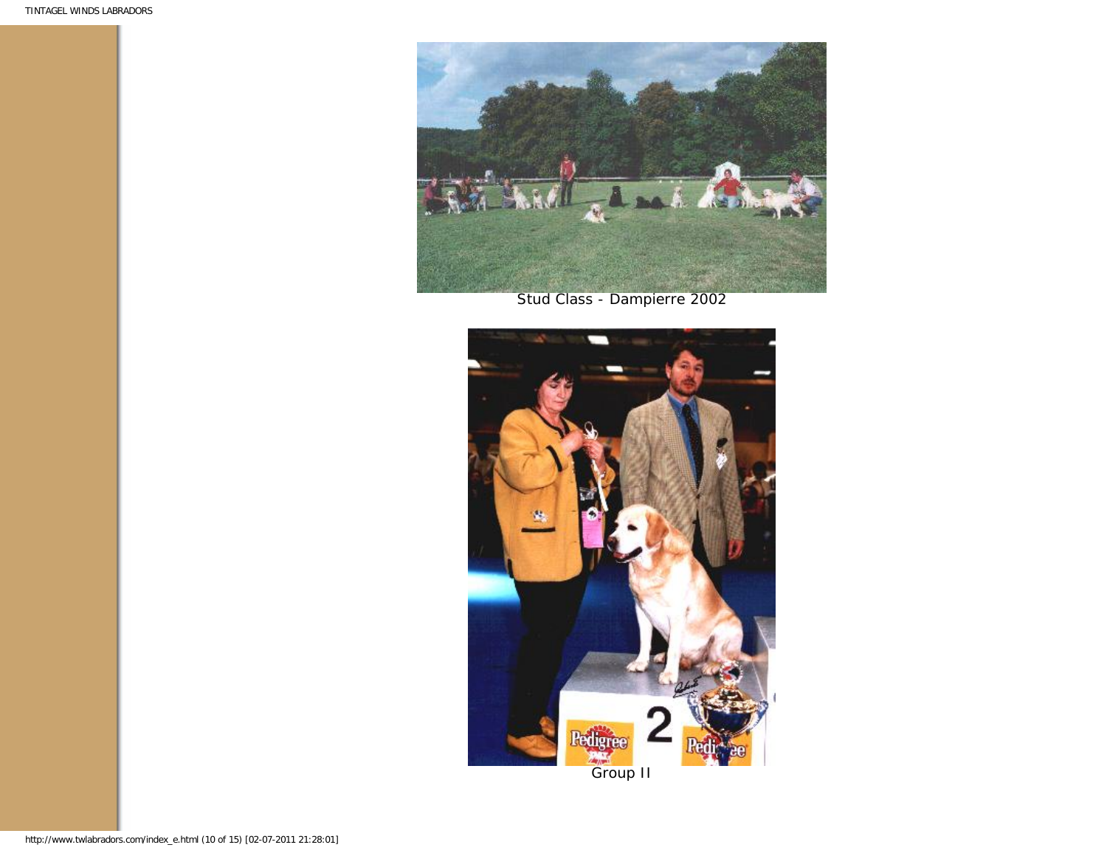

Stud Class - Dampierre 2002

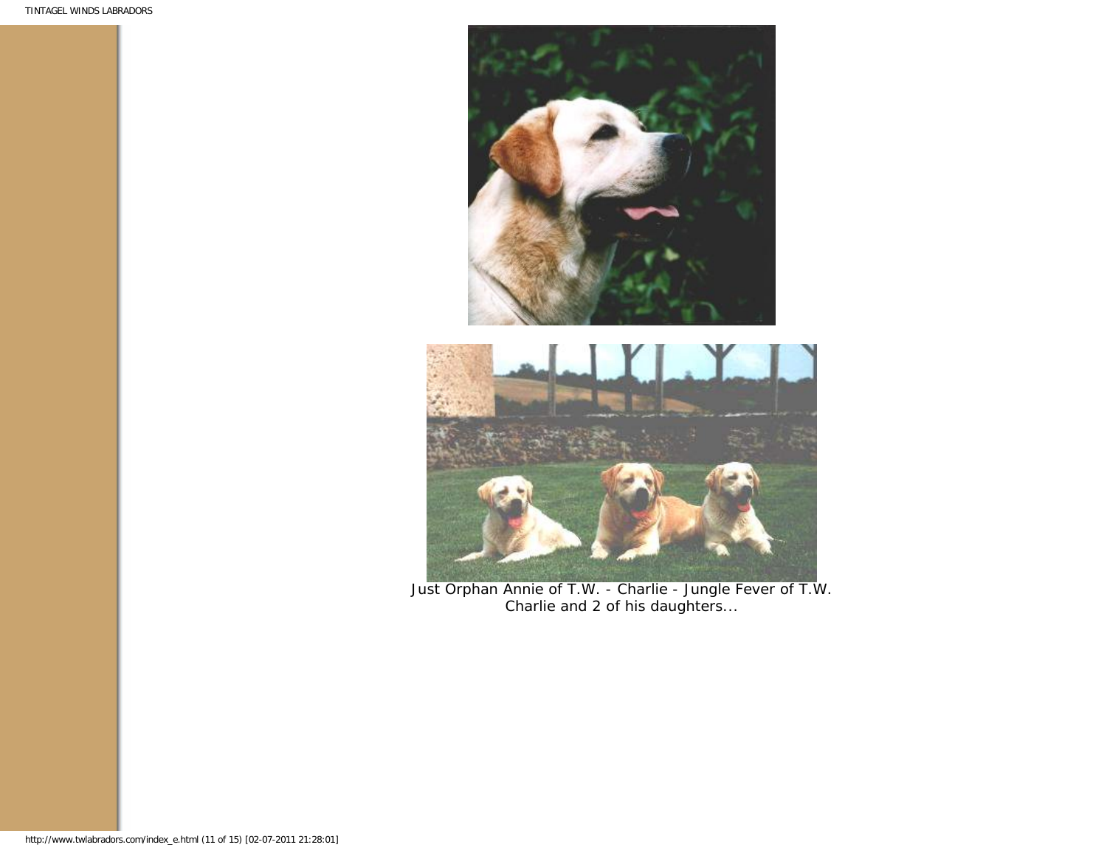



Just Orphan Annie of T.W. - Charlie - Jungle Fever of T.W. Charlie and 2 of his daughters...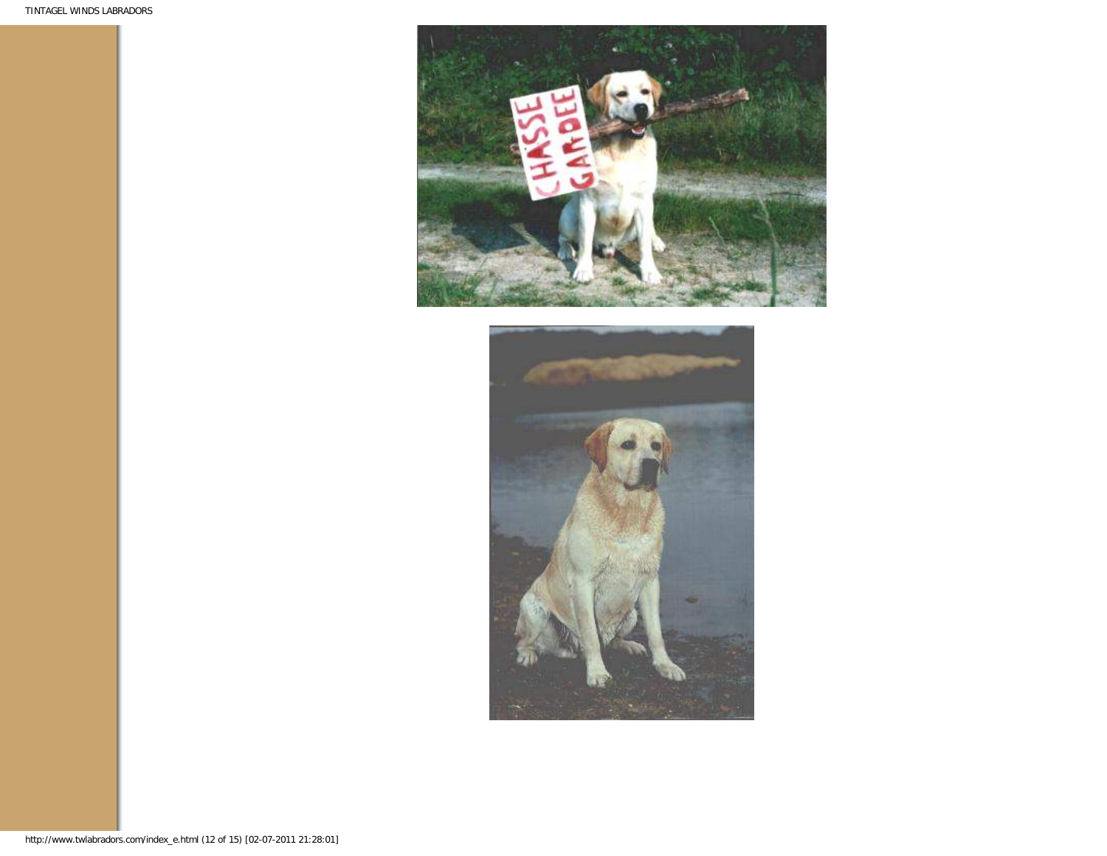

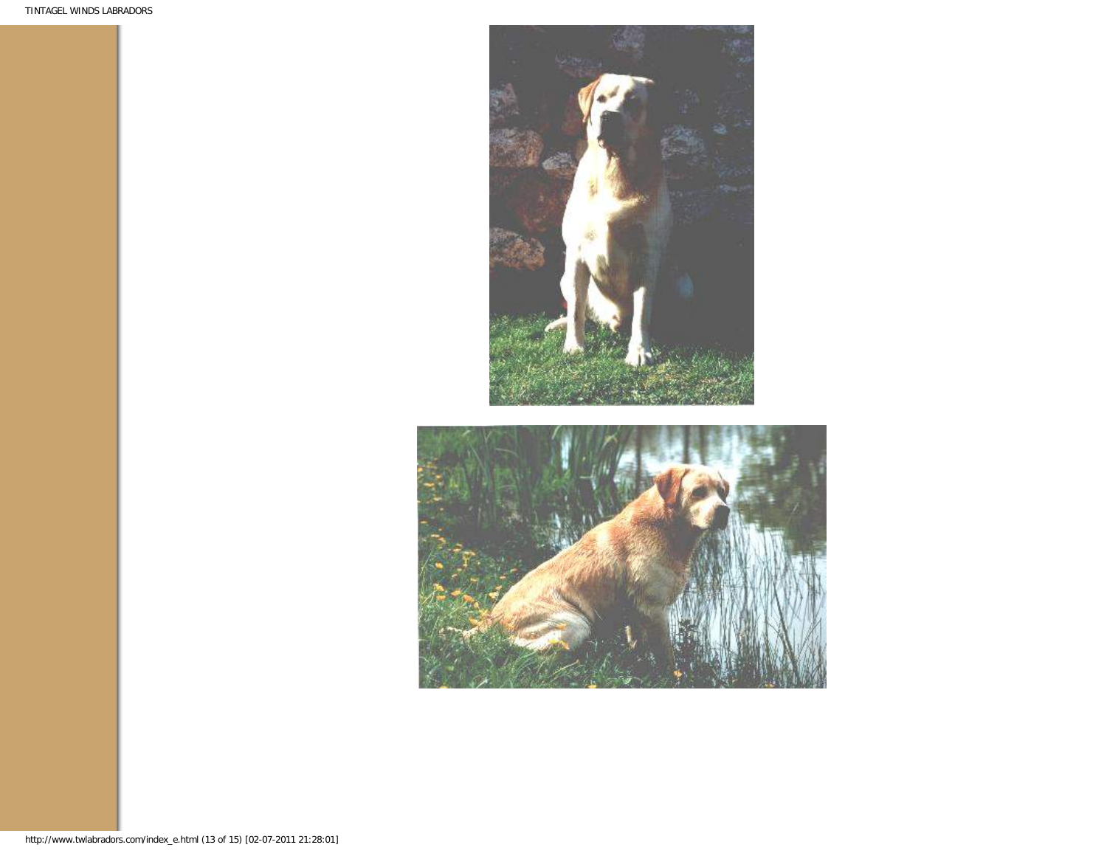

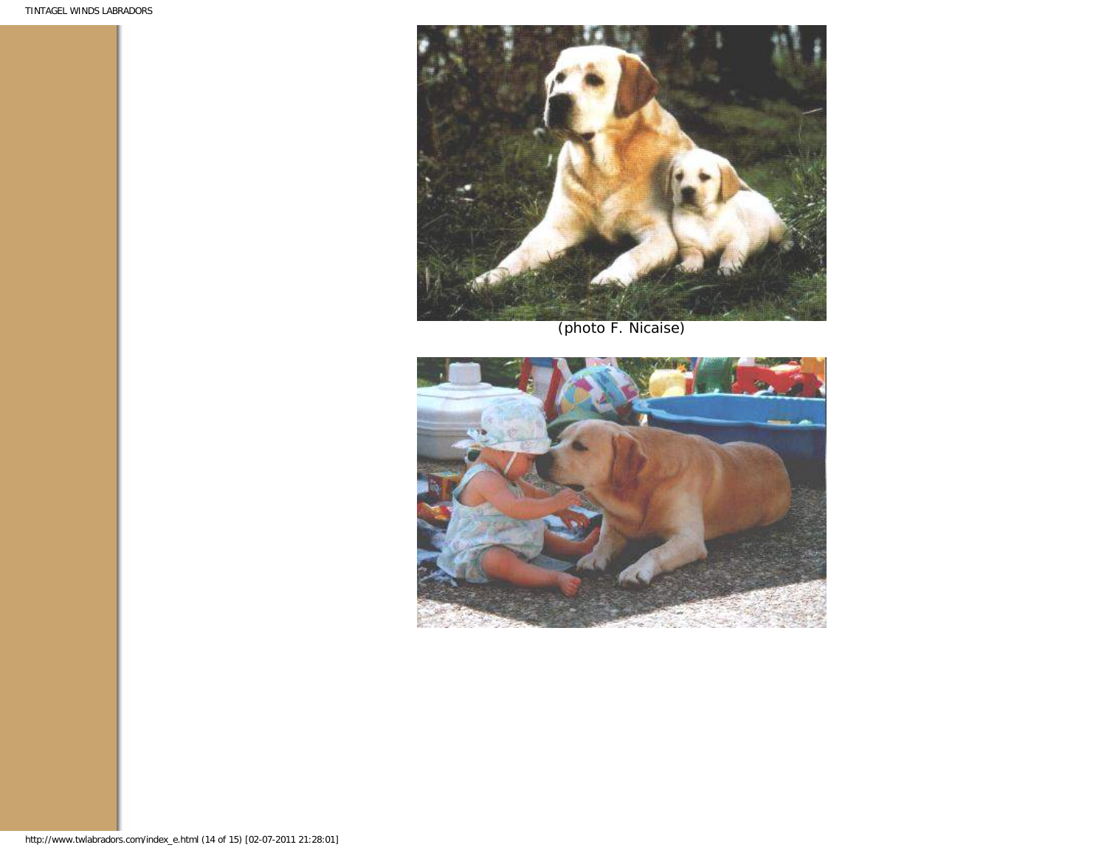

(photo F. Nicaise)